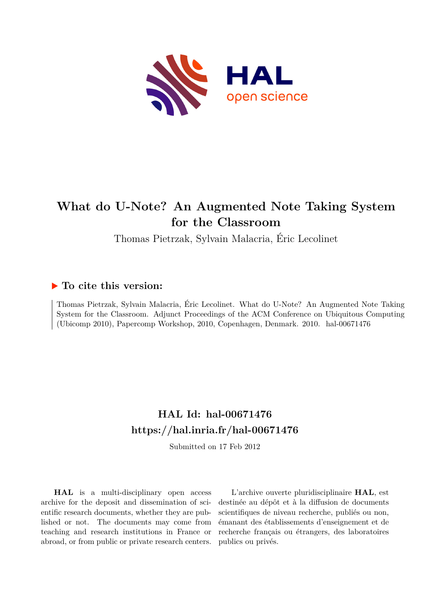

# **What do U-Note? An Augmented Note Taking System for the Classroom**

Thomas Pietrzak, Sylvain Malacria, Éric Lecolinet

## **To cite this version:**

Thomas Pietrzak, Sylvain Malacria, Éric Lecolinet. What do U-Note? An Augmented Note Taking System for the Classroom. Adjunct Proceedings of the ACM Conference on Ubiquitous Computing (Ubicomp 2010), Papercomp Workshop, 2010, Copenhagen, Denmark. 2010. hal-00671476

# **HAL Id: hal-00671476 <https://hal.inria.fr/hal-00671476>**

Submitted on 17 Feb 2012

**HAL** is a multi-disciplinary open access archive for the deposit and dissemination of scientific research documents, whether they are published or not. The documents may come from teaching and research institutions in France or abroad, or from public or private research centers.

L'archive ouverte pluridisciplinaire **HAL**, est destinée au dépôt et à la diffusion de documents scientifiques de niveau recherche, publiés ou non, émanant des établissements d'enseignement et de recherche français ou étrangers, des laboratoires publics ou privés.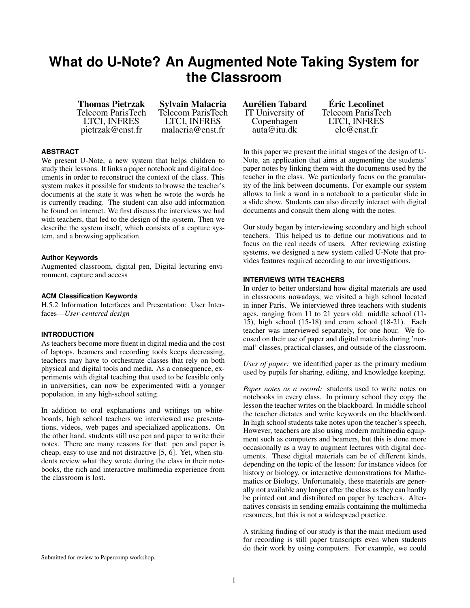# **What do U-Note? An Augmented Note Taking System for the Classroom**

Thomas Pietrzak Telecom ParisTech LTCI, INFRES pietrzak@enst.fr

Sylvain Malacria Telecom ParisTech LTCI, INFRES malacria@enst.fr

### **ABSTRACT**

We present U-Note, a new system that helps children to study their lessons. It links a paper notebook and digital documents in order to reconstruct the context of the class. This system makes it possible for students to browse the teacher's documents at the state it was when he wrote the words he is currently reading. The student can also add information he found on internet. We first discuss the interviews we had with teachers, that led to the design of the system. Then we describe the system itself, which consists of a capture system, and a browsing application.

### **Author Keywords**

Augmented classroom, digital pen, Digital lecturing environment, capture and access

### **ACM Classification Keywords**

H.5.2 Information Interfaces and Presentation: User Interfaces—*User-centered design*

### **INTRODUCTION**

As teachers become more fluent in digital media and the cost of laptops, beamers and recording tools keeps decreasing, teachers may have to orchestrate classes that rely on both physical and digital tools and media. As a consequence, experiments with digital teaching that used to be feasible only in universities, can now be experimented with a younger population, in any high-school setting.

In addition to oral explanations and writings on whiteboards, high school teachers we interviewed use presentations, videos, web pages and specialized applications. On the other hand, students still use pen and paper to write their notes. There are many reasons for that: pen and paper is cheap, easy to use and not distractive [\[5,](#page-4-0) [6\]](#page-4-1). Yet, when students review what they wrote during the class in their notebooks, the rich and interactive multimedia experience from the classroom is lost.

Aurelien Tabard ´ IT University of Copenhagen auta@itu.dk

Eric Lecolinet ´ Telecom ParisTech LTCI, INFRES elc@enst.fr

In this paper we present the initial stages of the design of U-Note, an application that aims at augmenting the students' paper notes by linking them with the documents used by the teacher in the class. We particularly focus on the granularity of the link between documents. For example our system allows to link a word in a notebook to a particular slide in a slide show. Students can also directly interact with digital documents and consult them along with the notes.

Our study began by interviewing secondary and high school teachers. This helped us to define our motivations and to focus on the real needs of users. After reviewing existing systems, we designed a new system called U-Note that provides features required according to our investigations.

### **INTERVIEWS WITH TEACHERS**

In order to better understand how digital materials are used in classrooms nowadays, we visited a high school located in inner Paris. We interviewed three teachers with students ages, ranging from 11 to 21 years old: middle school (11- 15), high school (15-18) and cram school (18-21). Each teacher was interviewed separately, for one hour. We focused on their use of paper and digital materials during 'normal' classes, practical classes, and outside of the classroom.

*Uses of paper:* we identified paper as the primary medium used by pupils for sharing, editing, and knowledge keeping.

*Paper notes as a record:* students used to write notes on notebooks in every class. In primary school they copy the lesson the teacher writes on the blackboard. In middle school the teacher dictates and write keywords on the blackboard. In high school students take notes upon the teacher's speech. However, teachers are also using modern multimedia equipment such as computers and beamers, but this is done more occasionally as a way to augment lectures with digital documents. These digital materials can be of different kinds, depending on the topic of the lesson: for instance videos for history or biology, or interactive demonstrations for Mathematics or Biology. Unfortunately, these materials are generally not available any longer after the class as they can hardly be printed out and distributed on paper by teachers. Alternatives consists in sending emails containing the multimedia resources, but this is not a widespread practice.

A striking finding of our study is that the main medium used for recording is still paper transcripts even when students do their work by using computers. For example, we could

Submitted for review to Papercomp workshop.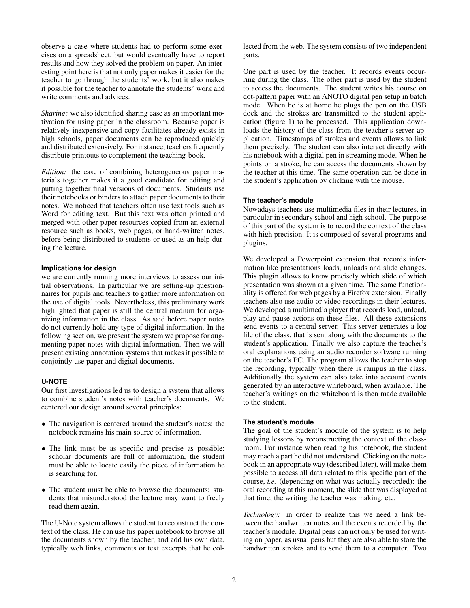observe a case where students had to perform some exercises on a spreadsheet, but would eventually have to report results and how they solved the problem on paper. An interesting point here is that not only paper makes it easier for the teacher to go through the students' work, but it also makes it possible for the teacher to annotate the students' work and write comments and advices.

*Sharing:* we also identified sharing ease as an important motivation for using paper in the classroom. Because paper is relatively inexpensive and copy facilitates already exists in high schools, paper documents can be reproduced quickly and distributed extensively. For instance, teachers frequently distribute printouts to complement the teaching-book.

*Edition:* the ease of combining heterogeneous paper materials together makes it a good candidate for editing and putting together final versions of documents. Students use their notebooks or binders to attach paper documents to their notes. We noticed that teachers often use text tools such as Word for editing text. But this text was often printed and merged with other paper resources copied from an external resource such as books, web pages, or hand-written notes, before being distributed to students or used as an help during the lecture.

#### **Implications for design**

we are currently running more interviews to assess our initial observations. In particular we are setting-up questionnaires for pupils and teachers to gather more information on the use of digital tools. Nevertheless, this preliminary work highlighted that paper is still the central medium for organizing information in the class. As said before paper notes do not currently hold any type of digital information. In the following section, we present the system we propose for augmenting paper notes with digital information. Then we will present existing annotation systems that makes it possible to conjointly use paper and digital documents.

### **U-NOTE**

Our first investigations led us to design a system that allows to combine student's notes with teacher's documents. We centered our design around several principles:

- The navigation is centered around the student's notes: the notebook remains his main source of information.
- The link must be as specific and precise as possible: scholar documents are full of information, the student must be able to locate easily the piece of information he is searching for.
- The student must be able to browse the documents: students that misunderstood the lecture may want to freely read them again.

The U-Note system allows the student to reconstruct the context of the class. He can use his paper notebook to browse all the documents shown by the teacher, and add his own data, typically web links, comments or text excerpts that he collected from the web. The system consists of two independent parts.

One part is used by the teacher. It records events occurring during the class. The other part is used by the student to access the documents. The student writes his course on dot-pattern paper with an ANOTO digital pen setup in batch mode. When he is at home he plugs the pen on the USB dock and the strokes are transmitted to the student application (figure [1\)](#page-3-0) to be processed. This application downloads the history of the class from the teacher's server application. Timestamps of strokes and events allows to link them precisely. The student can also interact directly with his notebook with a digital pen in streaming mode. When he points on a stroke, he can access the documents shown by the teacher at this time. The same operation can be done in the student's application by clicking with the mouse.

#### **The teacher's module**

Nowadays teachers use multimedia files in their lectures, in particular in secondary school and high school. The purpose of this part of the system is to record the context of the class with high precision. It is composed of several programs and plugins.

We developed a Powerpoint extension that records information like presentations loads, unloads and slide changes. This plugin allows to know precisely which slide of which presentation was shown at a given time. The same functionality is offered for web pages by a Firefox extension. Finally teachers also use audio or video recordings in their lectures. We developed a multimedia player that records load, unload, play and pause actions on these files. All these extensions send events to a central server. This server generates a log file of the class, that is sent along with the documents to the student's application. Finally we also capture the teacher's oral explanations using an audio recorder software running on the teacher's PC. The program allows the teacher to stop the recording, typically when there is rampus in the class. Additionally the system can also take into account events generated by an interactive whiteboard, when available. The teacher's writings on the whiteboard is then made available to the student.

#### **The student's module**

The goal of the student's module of the system is to help studying lessons by reconstructing the context of the classroom. For instance when reading his notebook, the student may reach a part he did not understand. Clicking on the notebook in an appropriate way (described later), will make them possible to access all data related to this specific part of the course, *i.e.* (depending on what was actually recorded): the oral recording at this moment, the slide that was displayed at that time, the writing the teacher was making, etc.

*Technology:* in order to realize this we need a link between the handwritten notes and the events recorded by the teacher's module. Digital pens can not only be used for writing on paper, as usual pens but they are also able to store the handwritten strokes and to send them to a computer. Two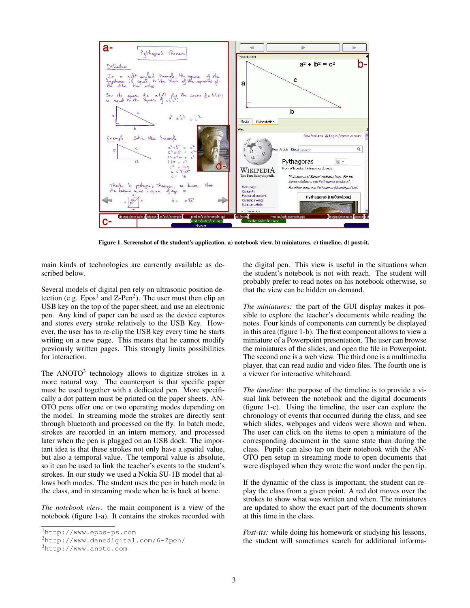

<span id="page-3-0"></span>Figure 1. Screenshot of the student's application. a) notebook view. b) miniatures. c) timeline. d) post-it.

main kinds of technologies are currently available as described below.

Several models of digital pen rely on ultrasonic position detection (e.g.  $Epos<sup>1</sup>$  $Epos<sup>1</sup>$  $Epos<sup>1</sup>$  and  $Z-Pen<sup>2</sup>$  $Z-Pen<sup>2</sup>$  $Z-Pen<sup>2</sup>$ ). The user must then clip an USB key on the top of the paper sheet, and use an electronic pen. Any kind of paper can be used as the device captures and stores every stroke relatively to the USB Key. However, the user has to re-clip the USB key every time he starts writing on a new page. This means that he cannot modify previously written pages. This strongly limits possibilities for interaction.

The  $ANOTO<sup>3</sup>$  $ANOTO<sup>3</sup>$  $ANOTO<sup>3</sup>$  technology allows to digitize strokes in a more natural way. The counterpart is that specific paper must be used together with a dedicated pen. More specifically a dot pattern must be printed on the paper sheets. AN-OTO pens offer one or two operating modes depending on the model. In streaming mode the strokes are directly sent through bluetooth and processed on the fly. In batch mode, strokes are recorded in an intern memory, and processed later when the pen is plugged on an USB dock. The important idea is that these strokes not only have a spatial value, but also a temporal value. The temporal value is absolute, so it can be used to link the teacher's events to the student's strokes. In our study we used a Nokia SU-1B model that allows both modes. The student uses the pen in batch mode in the class, and in streaming mode when he is back at home.

*The notebook view:* the main component is a view of the notebook (figure [1-](#page-3-0)a). It contains the strokes recorded with the digital pen. This view is useful in the situations when the student's notebook is not with reach. The student will probably prefer to read notes on his notebook otherwise, so that the view can be hidden on demand.

*The miniatures:* the part of the GUI display makes it possible to explore the teacher's documents while reading the notes. Four kinds of components can currently be displayed in this area (figure [1-](#page-3-0)b). The first component allows to view a miniature of a Powerpoint presentation. The user can browse the miniatures of the slides, and open the file in Powerpoint. The second one is a web view. The third one is a multimedia player, that can read audio and video files. The fourth one is a viewer for interactive whiteboard.

*The timeline:* the purpose of the timeline is to provide a visual link between the notebook and the digital documents (figure [1-](#page-3-0)c). Using the timeline, the user can explore the chronology of events that occurred during the class, and see which slides, webpages and videos were shown and when. The user can click on the items to open a miniature of the corresponding document in the same state than during the class. Pupils can also tap on their notebook with the AN-OTO pen setup in streaming mode to open documents that were displayed when they wrote the word under the pen tip.

If the dynamic of the class is important, the student can replay the class from a given point. A red dot moves over the strokes to show what was written and when. The miniatures are updated to show the exact part of the documents shown at this time in the class.

*Post-its:* while doing his homework or studying his lessons, the student will sometimes search for additional informa-

<span id="page-3-1"></span><sup>1</sup><http://www.epos-ps.com>

<span id="page-3-2"></span><sup>2</sup><http://www.danedigital.com/6-Zpen/>

<span id="page-3-3"></span><sup>3</sup><http://www.anoto.com>